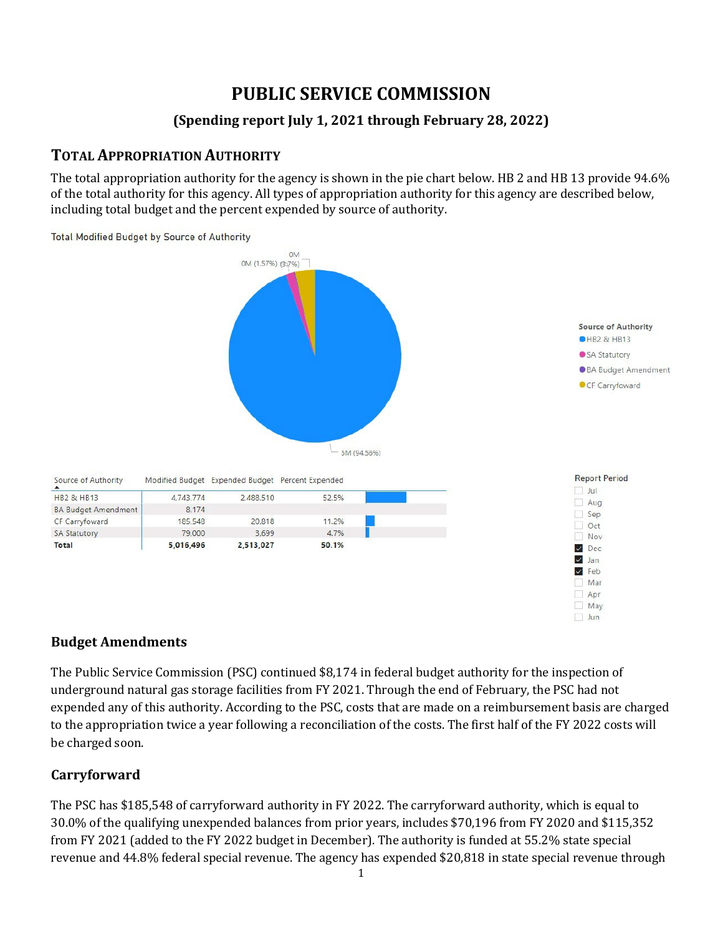# **PUBLIC SERVICE COMMISSION**

## **(Spending report July 1, 2021 through February 28, 2022)**

# **TOTAL APPROPRIATION AUTHORITY**

The total appropriation authority for the agency is shown in the pie chart below. HB 2 and HB 13 provide 94.6% of the total authority for this agency. All types of appropriation authority for this agency are described below, including total budget and the percent expended by source of authority.



### **Budget Amendments**

The Public Service Commission (PSC) continued \$8,174 in federal budget authority for the inspection of underground natural gas storage facilities from FY 2021. Through the end of February, the PSC had not expended any of this authority. According to the PSC, costs that are made on a reimbursement basis are charged to the appropriation twice a year following a reconciliation of the costs. The first half of the FY 2022 costs will be charged soon.

### **Carryforward**

The PSC has \$185,548 of carryforward authority in FY 2022. The carryforward authority, which is equal to 30.0% of the qualifying unexpended balances from prior years, includes \$70,196 from FY 2020 and \$115,352 from FY 2021 (added to the FY 2022 budget in December). The authority is funded at 55.2% state special revenue and 44.8% federal special revenue. The agency has expended \$20,818 in state special revenue through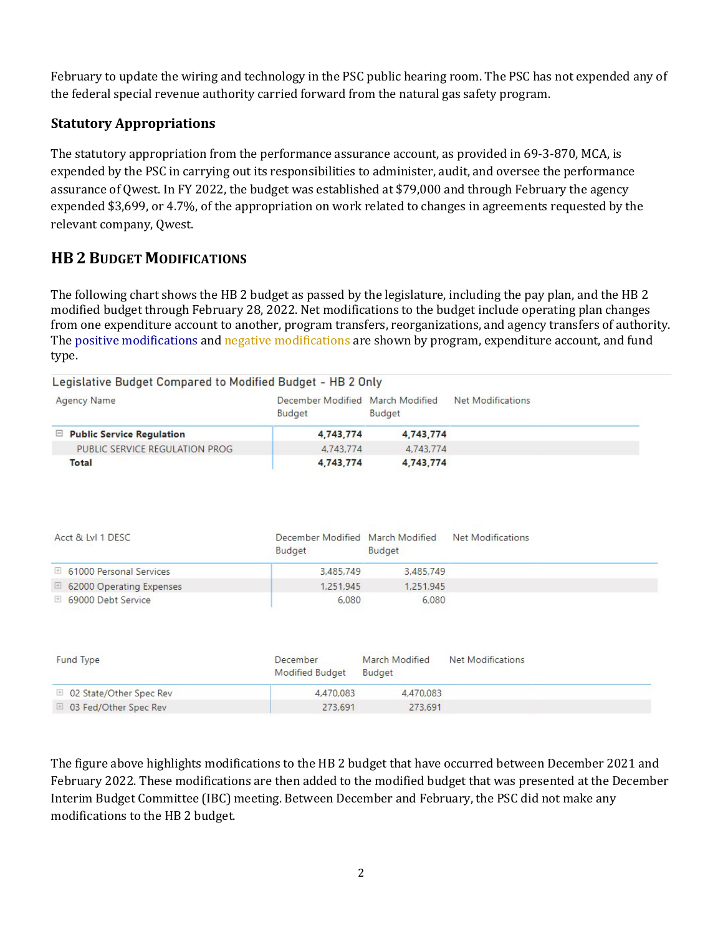February to update the wiring and technology in the PSC public hearing room. The PSC has not expended any of the federal special revenue authority carried forward from the natural gas safety program.

### **Statutory Appropriations**

The statutory appropriation from the performance assurance account, as provided in 69-3-870, MCA, is expended by the PSC in carrying out its responsibilities to administer, audit, and oversee the performance assurance of Qwest. In FY 2022, the budget was established at \$79,000 and through February the agency expended \$3,699, or 4.7%, of the appropriation on work related to changes in agreements requested by the relevant company, Qwest.

# **HB 2 BUDGET MODIFICATIONS**

The following chart shows the HB 2 budget as passed by the legislature, including the pay plan, and the HB 2 modified budget through February 28, 2022. Net modifications to the budget include operating plan changes from one expenditure account to another, program transfers, reorganizations, and agency transfers of authority. The positive modifications and negative modifications are shown by program, expenditure account, and fund type.

| <b>Agency Name</b>               | December Modified March Modified<br><b>Budget</b> | Budget    | Net Modifications |
|----------------------------------|---------------------------------------------------|-----------|-------------------|
| $\Box$ Public Service Regulation | 4,743,774                                         | 4,743,774 |                   |
| PUBLIC SERVICE REGULATION PROG   | 4,743,774                                         | 4,743,774 |                   |
| Total                            | 4,743,774                                         | 4,743,774 |                   |

| Acct & Lvl 1 DESC         | December Modified March Modified<br>Budget | <b>Budget</b> | Net Modifications |
|---------------------------|--------------------------------------------|---------------|-------------------|
| □ 61000 Personal Services | 3.485.749                                  | 3,485,749     |                   |
| 62000 Operating Expenses  | 1,251,945                                  | 1,251,945     |                   |
| 69000 Debt Service        | 6,080                                      | 6,080         |                   |

| Fund Type                 | <b>December</b><br>Modified Budget | March Modified<br>Budget | Net Modifications |  |
|---------------------------|------------------------------------|--------------------------|-------------------|--|
| □ 02 State/Other Spec Rev | 4,470,083                          | 4.470.083                |                   |  |
| 03 Fed/Other Spec Rev     | 273,691                            | 273.691                  |                   |  |

The figure above highlights modifications to the HB 2 budget that have occurred between December 2021 and February 2022. These modifications are then added to the modified budget that was presented at the December Interim Budget Committee (IBC) meeting. Between December and February, the PSC did not make any modifications to the HB 2 budget.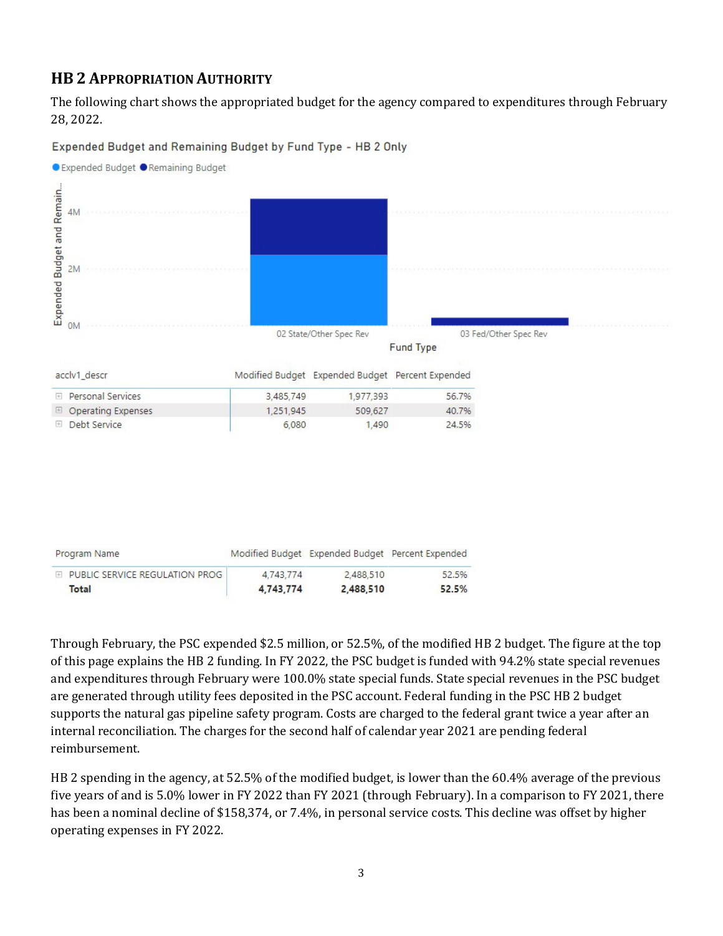## **HB 2 APPROPRIATION AUTHORITY**

The following chart shows the appropriated budget for the agency compared to expenditures through February 28, 2022.

● Expended Budget ● Remaining Budget Expended Budget and Remain...  $4M$  $2M$ **OM** 02 State/Other Spec Rev 03 Fed/Other Spec Rev **Fund Type** acclv1 descr Modified Budget Expended Budget Percent Expended 3,485,749 1,977,393 56.7% **⊞** Personal Services **E** Operating Expenses 1,251,945 509,627 40.7% **El Debt Service** 6,080 1,490 24.5%

Expended Budget and Remaining Budget by Fund Type - HB 2 Only

| Program Name                     |           |           | Modified Budget Expended Budget Percent Expended |
|----------------------------------|-----------|-----------|--------------------------------------------------|
| E PUBLIC SERVICE REGULATION PROG | 4,743,774 | 2.488.510 | 52.5%                                            |
| Total                            | 4.743.774 | 2,488,510 | 52.5%                                            |

Through February, the PSC expended \$2.5 million, or 52.5%, of the modified HB 2 budget. The figure at the top of this page explains the HB 2 funding. In FY 2022, the PSC budget is funded with 94.2% state special revenues and expenditures through February were 100.0% state special funds. State special revenues in the PSC budget are generated through utility fees deposited in the PSC account. Federal funding in the PSC HB 2 budget supports the natural gas pipeline safety program. Costs are charged to the federal grant twice a year after an internal reconciliation. The charges for the second half of calendar year 2021 are pending federal reimbursement.

HB 2 spending in the agency, at 52.5% of the modified budget, is lower than the 60.4% average of the previous five years of and is 5.0% lower in FY 2022 than FY 2021 (through February). In a comparison to FY 2021, there has been a nominal decline of \$158,374, or 7.4%, in personal service costs. This decline was offset by higher operating expenses in FY 2022.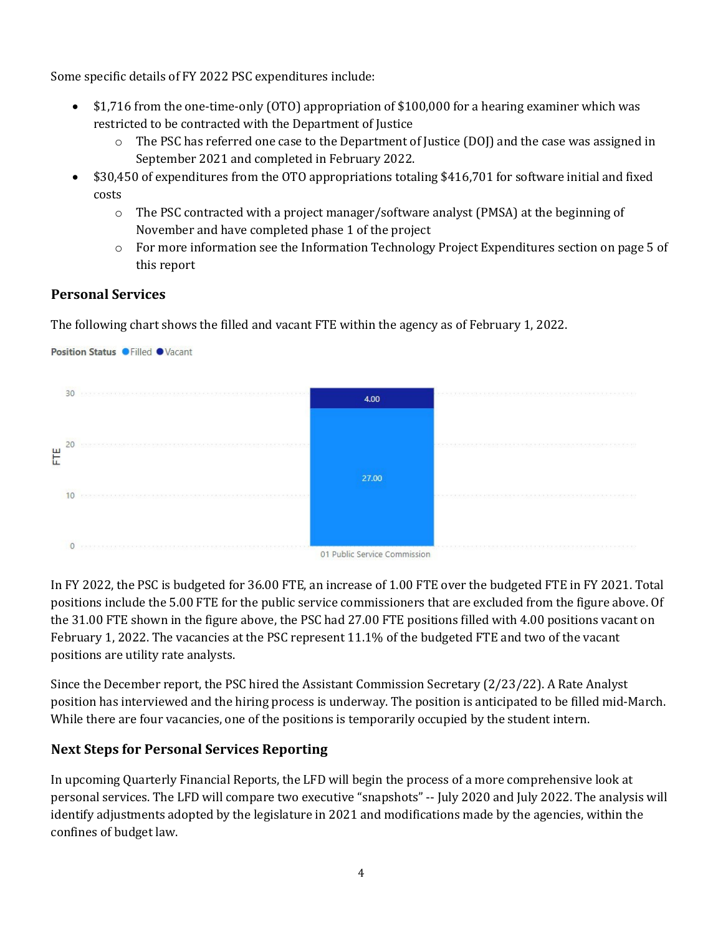Some specific details of FY 2022 PSC expenditures include:

- \$1,716 from the one-time-only (OTO) appropriation of \$100,000 for a hearing examiner which was restricted to be contracted with the Department of Justice
	- o The PSC has referred one case to the Department of Justice (DOJ) and the case was assigned in September 2021 and completed in February 2022.
- \$30,450 of expenditures from the OTO appropriations totaling \$416,701 for software initial and fixed costs
	- o The PSC contracted with a project manager/software analyst (PMSA) at the beginning of November and have completed phase 1 of the project
	- o For more information see the Information Technology Project Expenditures section on page 5 of this report

### **Personal Services**

Position Status O Filled OVacant

The following chart shows the filled and vacant FTE within the agency as of February 1, 2022.



In FY 2022, the PSC is budgeted for 36.00 FTE, an increase of 1.00 FTE over the budgeted FTE in FY 2021. Total positions include the 5.00 FTE for the public service commissioners that are excluded from the figure above. Of the 31.00 FTE shown in the figure above, the PSC had 27.00 FTE positions filled with 4.00 positions vacant on February 1, 2022. The vacancies at the PSC represent 11.1% of the budgeted FTE and two of the vacant positions are utility rate analysts.

Since the December report, the PSC hired the Assistant Commission Secretary (2/23/22). A Rate Analyst position has interviewed and the hiring process is underway. The position is anticipated to be filled mid-March. While there are four vacancies, one of the positions is temporarily occupied by the student intern.

#### **Next Steps for Personal Services Reporting**

In upcoming Quarterly Financial Reports, the LFD will begin the process of a more comprehensive look at personal services. The LFD will compare two executive "snapshots" -- July 2020 and July 2022. The analysis will identify adjustments adopted by the legislature in 2021 and modifications made by the agencies, within the confines of budget law.